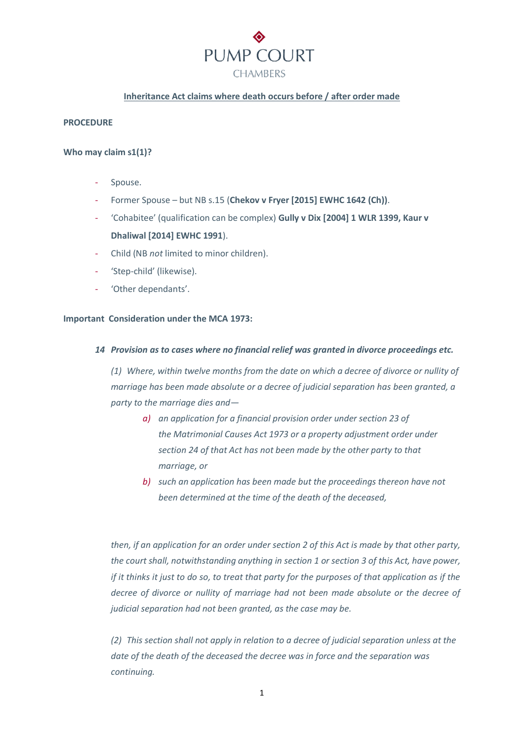

#### **Inheritance Act claims where death occurs before / after order made**

#### **PROCEDURE**

#### **Who may claim s1(1)?**

- Spouse.
- Former Spouse but NB s.15 (**Chekov v Fryer [2015] EWHC 1642 (Ch))**.
- 'Cohabitee' (qualification can be complex) **Gully v Dix [2004] 1 WLR 1399, Kaur v Dhaliwal [2014] EWHC 1991**).
- Child (NB *not* limited to minor children).
- 'Step-child' (likewise).
- 'Other dependants'.

#### **Important Consideration under the MCA 1973:**

#### *14 Provision as to cases where no financial relief was granted in divorce proceedings etc.*

*(1) Where, within twelve months from the date on which a decree of divorce or nullity of marriage has been made absolute or a decree of judicial separation has been granted, a party to the marriage dies and—*

- *a) an application for a financial provision order under section 23 of the Matrimonial Causes Act 1973 or a property adjustment order under section 24 of that Act has not been made by the other party to that marriage, or*
- *b) such an application has been made but the proceedings thereon have not been determined at the time of the death of the deceased,*

*then, if an application for an order under section 2 of this Act is made by that other party, the court shall, notwithstanding anything in section 1 or section 3 of this Act, have power, if it thinks it just to do so, to treat that party for the purposes of that application as if the decree of divorce or nullity of marriage had not been made absolute or the decree of judicial separation had not been granted, as the case may be.* 

*(2) This section shall not apply in relation to a decree of judicial separation unless at the date of the death of the deceased the decree was in force and the separation was continuing.*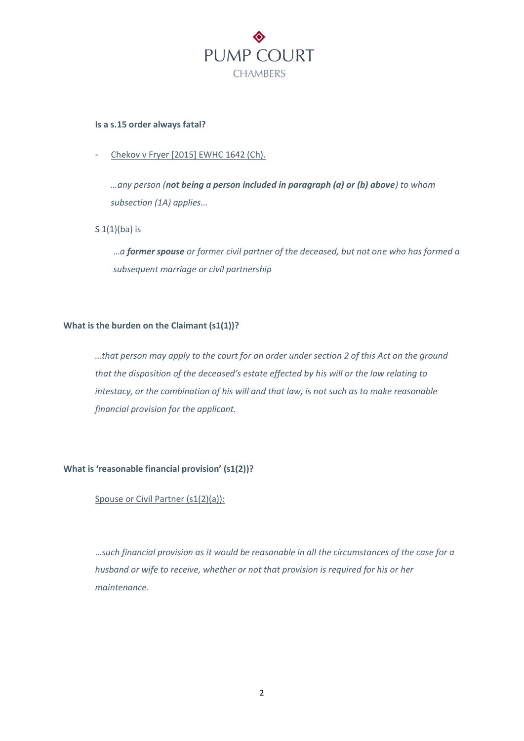

#### **Is a s.15 order always fatal?**

Chekov v Fryer [2015] EWHC 1642 (Ch).

*…any person (not being a person included in paragraph (a) or (b) above) to whom subsection (1A) applies...*

S 1(1)(ba) is

…*a former spouse or former civil partner of the deceased, but not one who has formed a subsequent marriage or civil partnership*

# **What is the burden on the Claimant (s1(1))?**

*…that person may apply to the court for an order under section 2 of this Act on the ground that the disposition of the deceased's estate effected by his will or the law relating to intestacy, or the combination of his will and that law, is not such as to make reasonable financial provision for the applicant.* 

# **What is 'reasonable financial provision' (s1(2))?**

#### Spouse or Civil Partner (s1(2)(a)):

…*such financial provision as it would be reasonable in all the circumstances of the case for a husband or wife to receive, whether or not that provision is required for his or her maintenance.*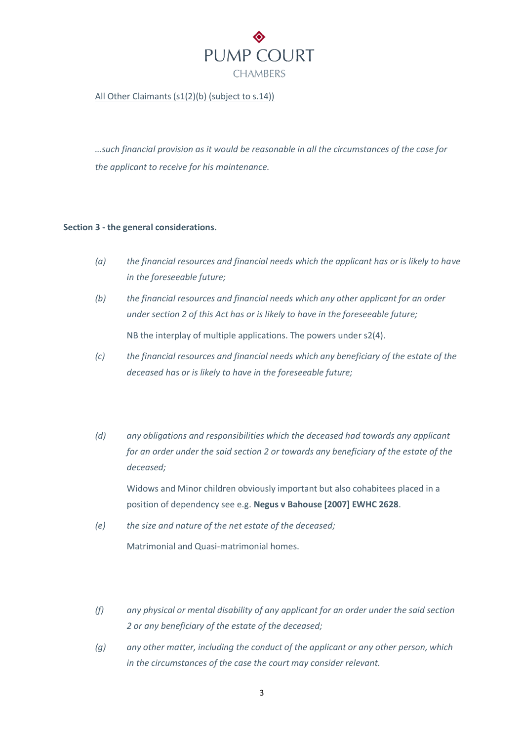

# All Other Claimants (s1(2)(b) (subject to s.14))

*…such financial provision as it would be reasonable in all the circumstances of the case for the applicant to receive for his maintenance.*

#### **Section 3 - the general considerations.**

- *(a) the financial resources and financial needs which the applicant has or is likely to have in the foreseeable future;*
- *(b) the financial resources and financial needs which any other applicant for an order under section 2 of this Act has or is likely to have in the foreseeable future;* NB the interplay of multiple applications. The powers under s2(4).
- *(c) the financial resources and financial needs which any beneficiary of the estate of the deceased has or is likely to have in the foreseeable future;*
- *(d) any obligations and responsibilities which the deceased had towards any applicant for an order under the said section 2 or towards any beneficiary of the estate of the deceased;*

Widows and Minor children obviously important but also cohabitees placed in a position of dependency see e.g. **Negus v Bahouse [2007] EWHC 2628**.

- *(e) the size and nature of the net estate of the deceased;* Matrimonial and Quasi-matrimonial homes.
- *(f) any physical or mental disability of any applicant for an order under the said section 2 or any beneficiary of the estate of the deceased;*
- *(g) any other matter, including the conduct of the applicant or any other person, which in the circumstances of the case the court may consider relevant.*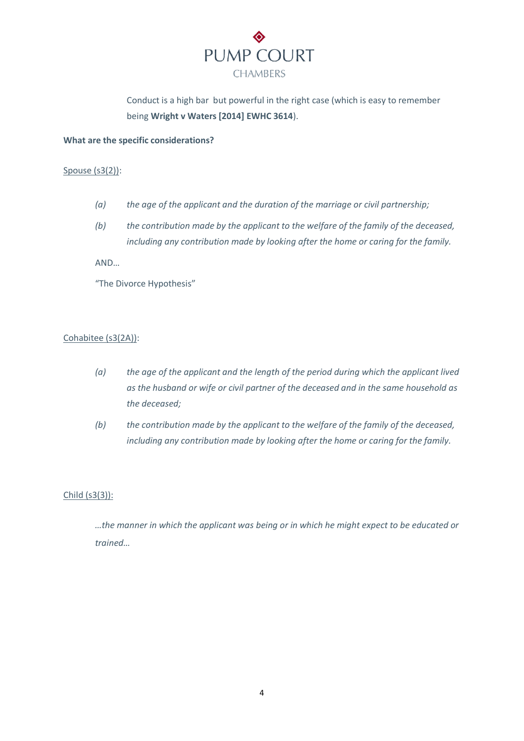

Conduct is a high bar but powerful in the right case (which is easy to remember being **Wright v Waters [2014] EWHC 3614**).

#### **What are the specific considerations?**

# Spouse (s3(2)):

- *(a) the age of the applicant and the duration of the marriage or civil partnership;*
- *(b) the contribution made by the applicant to the welfare of the family of the deceased, including any contribution made by looking after the home or caring for the family.*

AND…

"The Divorce Hypothesis"

# Cohabitee (s3(2A)):

- *(a) the age of the applicant and the length of the period during which the applicant lived as the husband or wife or civil partner of the deceased and in the same household as the deceased;*
- *(b) the contribution made by the applicant to the welfare of the family of the deceased, including any contribution made by looking after the home or caring for the family.*

# Child (s3(3)):

*…the manner in which the applicant was being or in which he might expect to be educated or trained…*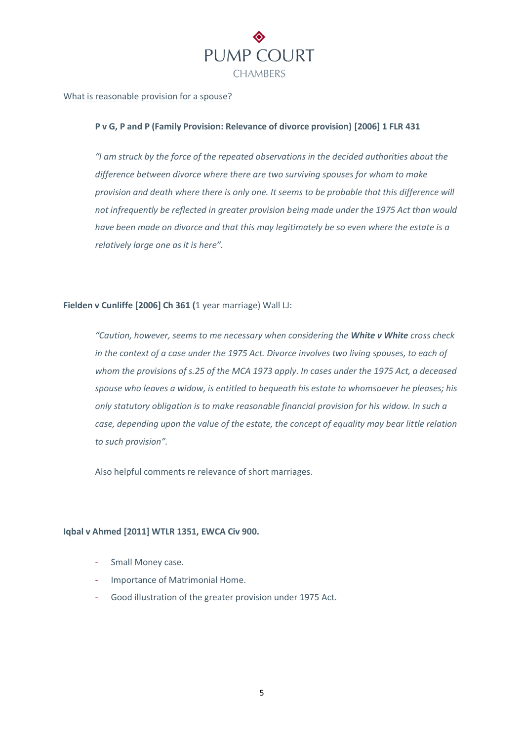

#### What is reasonable provision for a spouse?

#### **P v G, P and P (Family Provision: Relevance of divorce provision) [2006] 1 FLR 431**

*"I am struck by the force of the repeated observations in the decided authorities about the difference between divorce where there are two surviving spouses for whom to make provision and death where there is only one. It seems to be probable that this difference will not infrequently be reflected in greater provision being made under the 1975 Act than would have been made on divorce and that this may legitimately be so even where the estate is a relatively large one as it is here".* 

## **Fielden v Cunliffe [2006] Ch 361 (**1 year marriage) Wall LJ:

*"Caution, however, seems to me necessary when considering the White v White cross check in the context of a case under the 1975 Act. Divorce involves two living spouses, to each of whom the provisions of s.25 of the MCA 1973 apply. In cases under the 1975 Act, a deceased spouse who leaves a widow, is entitled to bequeath his estate to whomsoever he pleases; his only statutory obligation is to make reasonable financial provision for his widow. In such a case, depending upon the value of the estate, the concept of equality may bear little relation to such provision".* 

Also helpful comments re relevance of short marriages.

#### **Iqbal v Ahmed [2011] WTLR 1351, EWCA Civ 900.**

- Small Money case.
- Importance of Matrimonial Home.
- Good illustration of the greater provision under 1975 Act.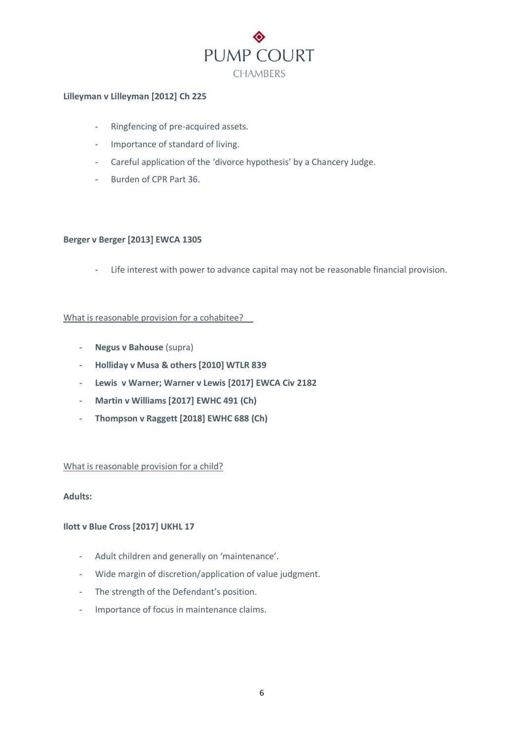

# **Lilleyman v Lilleyman [2012] Ch 225**

- Ringfencing of pre-acquired assets.
- Importance of standard of living.
- Careful application of the 'divorce hypothesis' by a Chancery Judge.
- Burden of CPR Part 36.

# **Berger v Berger [2013] EWCA 1305**

- Life interest with power to advance capital may not be reasonable financial provision.

# What is reasonable provision for a cohabitee?

- **Negus v Bahouse** (supra)
- **Holliday v Musa & others [2010] WTLR 839**
- **Lewis v Warner; Warner v Lewis [2017] EWCA Civ 2182**
- **Martin v Williams [2017] EWHC 491 (Ch)**
- **Thompson v Raggett [2018] EWHC 688 (Ch)**

#### What is reasonable provision for a child?

# **Adults:**

# **Ilott v Blue Cross [2017] UKHL 17**

- Adult children and generally on 'maintenance'.
- Wide margin of discretion/application of value judgment.
- The strength of the Defendant's position.
- Importance of focus in maintenance claims.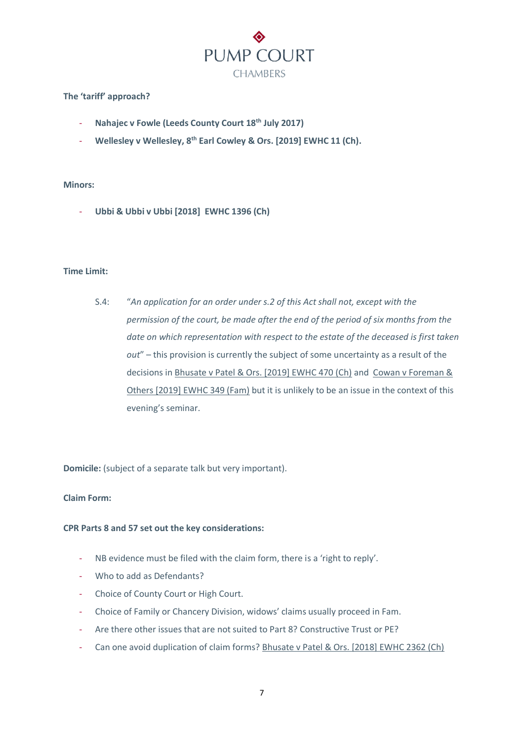

# **The 'tariff' approach?**

- **Nahajec v Fowle (Leeds County Court 18th July 2017)**
- **Wellesley v Wellesley, 8th Earl Cowley & Ors. [2019] EWHC 11 (Ch).**

#### **Minors:**

- **Ubbi & Ubbi v Ubbi [2018] EWHC 1396 (Ch)**

# **Time Limit:**

S.4: "*An application for an order under s.2 of this Act shall not, except with the permission of the court, be made after the end of the period of six months from the date on which representation with respect to the estate of the deceased is first taken out*" – this provision is currently the subject of some uncertainty as a result of the decisions in Bhusate v Patel & Ors. [2019] EWHC 470 (Ch) and Cowan v Foreman & Others [2019] EWHC 349 (Fam) but it is unlikely to be an issue in the context of this evening's seminar.

**Domicile:** (subject of a separate talk but very important).

# **Claim Form:**

# **CPR Parts 8 and 57 set out the key considerations:**

- NB evidence must be filed with the claim form, there is a 'right to reply'.
- Who to add as Defendants?
- Choice of County Court or High Court.
- Choice of Family or Chancery Division, widows' claims usually proceed in Fam.
- Are there other issues that are not suited to Part 8? Constructive Trust or PE?
- Can one avoid duplication of claim forms? Bhusate v Patel & Ors. [2018] EWHC 2362 (Ch)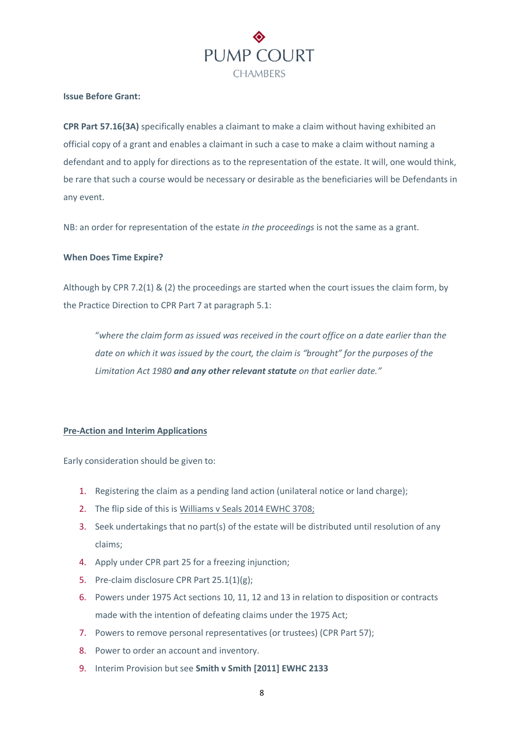

#### **Issue Before Grant:**

**CPR Part 57.16(3A)** specifically enables a claimant to make a claim without having exhibited an official copy of a grant and enables a claimant in such a case to make a claim without naming a defendant and to apply for directions as to the representation of the estate. It will, one would think, be rare that such a course would be necessary or desirable as the beneficiaries will be Defendants in any event.

NB: an order for representation of the estate *in the proceedings* is not the same as a grant.

#### **When Does Time Expire?**

Although by CPR 7.2(1) & (2) the proceedings are started when the court issues the claim form, by the Practice Direction to CPR Part 7 at paragraph 5.1:

"*where the claim form as issued was received in the court office on a date earlier than the date on which it was issued by the court, the claim is "brought" for the purposes of the Limitation Act 1980 and any other relevant statute on that earlier date."* 

# **Pre-Action and Interim Applications**

Early consideration should be given to:

- 1. Registering the claim as a pending land action (unilateral notice or land charge);
- 2. The flip side of this is Williams v Seals 2014 EWHC 3708;
- 3. Seek undertakings that no part(s) of the estate will be distributed until resolution of any claims;
- 4. Apply under CPR part 25 for a freezing injunction;
- 5. Pre-claim disclosure CPR Part 25.1(1)(g);
- 6. Powers under 1975 Act sections 10, 11, 12 and 13 in relation to disposition or contracts made with the intention of defeating claims under the 1975 Act;
- 7. Powers to remove personal representatives (or trustees) (CPR Part 57);
- 8. Power to order an account and inventory.
- 9. Interim Provision but see **Smith v Smith [2011] EWHC 2133**